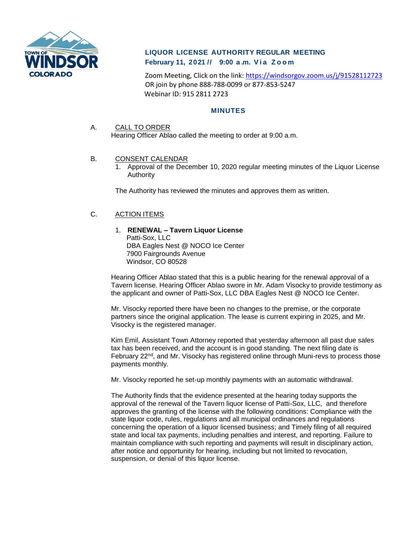

# **LIQUOR LICENSE AUTHORITY REGULAR MEETING February 11, 2021 // 9:00 a . m. V i a Z o o m**

Zoom Meeting, Click on the link:<https://windsorgov.zoom.us/j/91528112723> OR join by phone 888-788-0099 or 877-853-5247 Webinar ID: 915 2811 2723

## **MINUTES**

#### A. CALL TO ORDER

Hearing Officer Ablao called the meeting to order at 9:00 a.m.

#### B. CONSENT CALENDAR

1. Approval of the December 10, 2020 regular meeting minutes of the Liquor License Authority

The Authority has reviewed the minutes and approves them as written.

# C. ACTION ITEMS

# 1. **RENEWAL – Tavern Liquor License**

Patti-Sox, LLC DBA Eagles Nest @ NOCO Ice Center 7900 Fairgrounds Avenue Windsor, CO 80528

Hearing Officer Ablao stated that this is a public hearing for the renewal approval of a Tavern license. Hearing Officer Ablao swore in Mr. Adam Visocky to provide testimony as the applicant and owner of Patti-Sox, LLC DBA Eagles Nest @ NOCO Ice Center.

Mr. Visocky reported there have been no changes to the premise, or the corporate partners since the original application. The lease is current expiring in 2025, and Mr. Visocky is the registered manager.

Kim Emil, Assistant Town Attorney reported that yesterday afternoon all past due sales tax has been received, and the account is in good standing. The next filing date is February 22nd, and Mr. Visocky has registered online through Muni-revs to process those payments monthly.

Mr. Visocky reported he set-up monthly payments with an automatic withdrawal.

The Authority finds that the evidence presented at the hearing today supports the approval of the renewal of the Tavern liquor license of Patti-Sox, LLC, and therefore approves the granting of the license with the following conditions: Compliance with the state liquor code, rules, regulations and all municipal ordinances and regulations concerning the operation of a liquor licensed business; and Timely filing of all required state and local tax payments, including penalties and interest, and reporting. Failure to maintain compliance with such reporting and payments will result in disciplinary action, after notice and opportunity for hearing, including but not limited to revocation, suspension, or denial of this liquor license.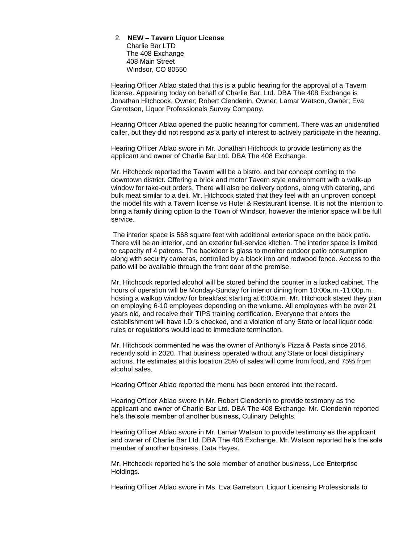# 2. **NEW – Tavern Liquor License**

Charlie Bar LTD The 408 Exchange 408 Main Street Windsor, CO 80550

Hearing Officer Ablao stated that this is a public hearing for the approval of a Tavern license. Appearing today on behalf of Charlie Bar, Ltd. DBA The 408 Exchange is Jonathan Hitchcock, Owner; Robert Clendenin, Owner; Lamar Watson, Owner; Eva Garretson, Liquor Professionals Survey Company.

Hearing Officer Ablao opened the public hearing for comment. There was an unidentified caller, but they did not respond as a party of interest to actively participate in the hearing.

Hearing Officer Ablao swore in Mr. Jonathan Hitchcock to provide testimony as the applicant and owner of Charlie Bar Ltd. DBA The 408 Exchange.

Mr. Hitchcock reported the Tavern will be a bistro, and bar concept coming to the downtown district. Offering a brick and motor Tavern style environment with a walk-up window for take-out orders. There will also be delivery options, along with catering, and bulk meat similar to a deli. Mr. Hitchcock stated that they feel with an unproven concept the model fits with a Tavern license vs Hotel & Restaurant license. It is not the intention to bring a family dining option to the Town of Windsor, however the interior space will be full service.

The interior space is 568 square feet with additional exterior space on the back patio. There will be an interior, and an exterior full-service kitchen. The interior space is limited to capacity of 4 patrons. The backdoor is glass to monitor outdoor patio consumption along with security cameras, controlled by a black iron and redwood fence. Access to the patio will be available through the front door of the premise.

Mr. Hitchcock reported alcohol will be stored behind the counter in a locked cabinet. The hours of operation will be Monday-Sunday for interior dining from 10:00a.m.-11:00p.m., hosting a walkup window for breakfast starting at 6:00a.m. Mr. Hitchcock stated they plan on employing 6-10 employees depending on the volume. All employees with be over 21 years old, and receive their TIPS training certification. Everyone that enters the establishment will have I.D.'s checked, and a violation of any State or local liquor code rules or regulations would lead to immediate termination.

Mr. Hitchcock commented he was the owner of Anthony's Pizza & Pasta since 2018, recently sold in 2020. That business operated without any State or local disciplinary actions. He estimates at this location 25% of sales will come from food, and 75% from alcohol sales.

Hearing Officer Ablao reported the menu has been entered into the record.

Hearing Officer Ablao swore in Mr. Robert Clendenin to provide testimony as the applicant and owner of Charlie Bar Ltd. DBA The 408 Exchange. Mr. Clendenin reported he's the sole member of another business, Culinary Delights.

Hearing Officer Ablao swore in Mr. Lamar Watson to provide testimony as the applicant and owner of Charlie Bar Ltd. DBA The 408 Exchange. Mr. Watson reported he's the sole member of another business, Data Hayes.

Mr. Hitchcock reported he's the sole member of another business, Lee Enterprise Holdings.

Hearing Officer Ablao swore in Ms. Eva Garretson, Liquor Licensing Professionals to